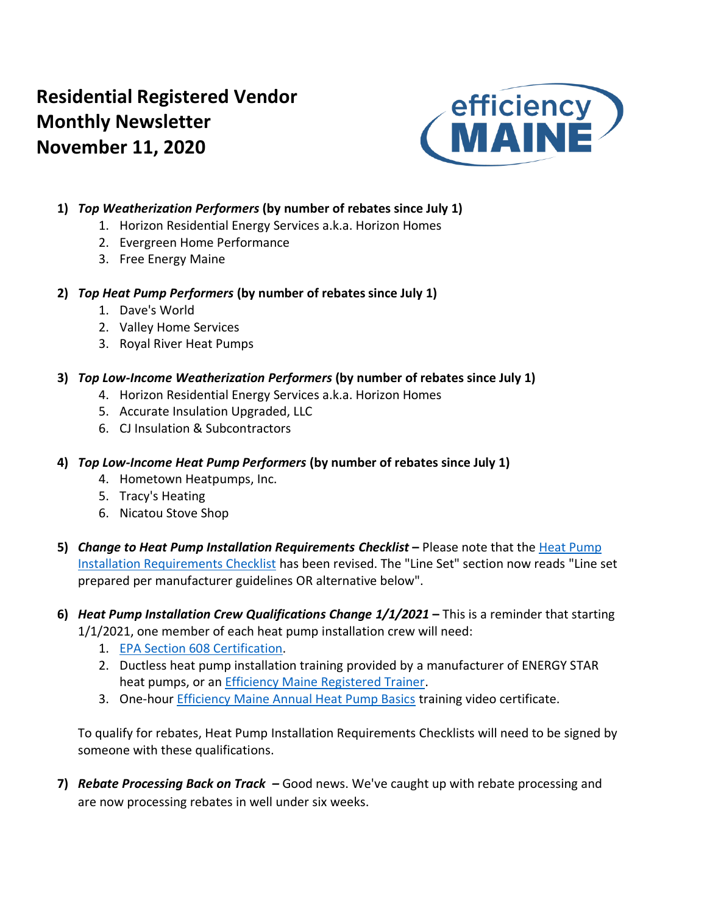# **Residential Registered Vendor Monthly Newsletter November 11, 2020**



### **1)** *Top Weatherization Performers* **(by number of rebates since July 1)**

- 1. Horizon Residential Energy Services a.k.a. Horizon Homes
- 2. Evergreen Home Performance
- 3. Free Energy Maine

### **2)** *Top Heat Pump Performers* **(by number of rebates since July 1)**

- 1. Dave's World
- 2. Valley Home Services
- 3. Royal River Heat Pumps

### **3)** *Top Low-Income Weatherization Performers* **(by number of rebates since July 1)**

- 4. Horizon Residential Energy Services a.k.a. Horizon Homes
- 5. Accurate Insulation Upgraded, LLC
- 6. CJ Insulation & Subcontractors

### **4)** *Top Low-Income Heat Pump Performers* **(by number of rebates since July 1)**

- 4. Hometown Heatpumps, Inc.
- 5. Tracy's Heating
- 6. Nicatou Stove Shop
- **5)** *Change to Heat Pump Installation Requirements Checklist* **–** Please note that the [Heat Pump](https://www.efficiencymaine.com/docs/Residential-Heat-Pump-Installation-Checklist.pdf)  [Installation Requirements Checklist](https://www.efficiencymaine.com/docs/Residential-Heat-Pump-Installation-Checklist.pdf) has been revised. The "Line Set" section now reads "Line set prepared per manufacturer guidelines OR alternative below".
- **6)** *Heat Pump Installation Crew Qualifications Change 1/1/2021* **–** This is a reminder that starting 1/1/2021, one member of each heat pump installation crew will need:
	- 1. [EPA Section 608 Certification.](https://www.epa.gov/section608/section-608-technician-certification-0)
	- 2. Ductless heat pump installation training provided by a manufacturer of ENERGY STAR heat pumps, or an [Efficiency Maine Registered Trainer.](https://www.efficiencymaine.com/professional-training/)
	- 3. One-hour [Efficiency Maine Annual Heat Pump Basics](https://www.efficiencymainetraining.com/) training video certificate.

To qualify for rebates, Heat Pump Installation Requirements Checklists will need to be signed by someone with these qualifications.

**7)** *Rebate Processing Back on Track –* Good news. We've caught up with rebate processing and are now processing rebates in well under six weeks.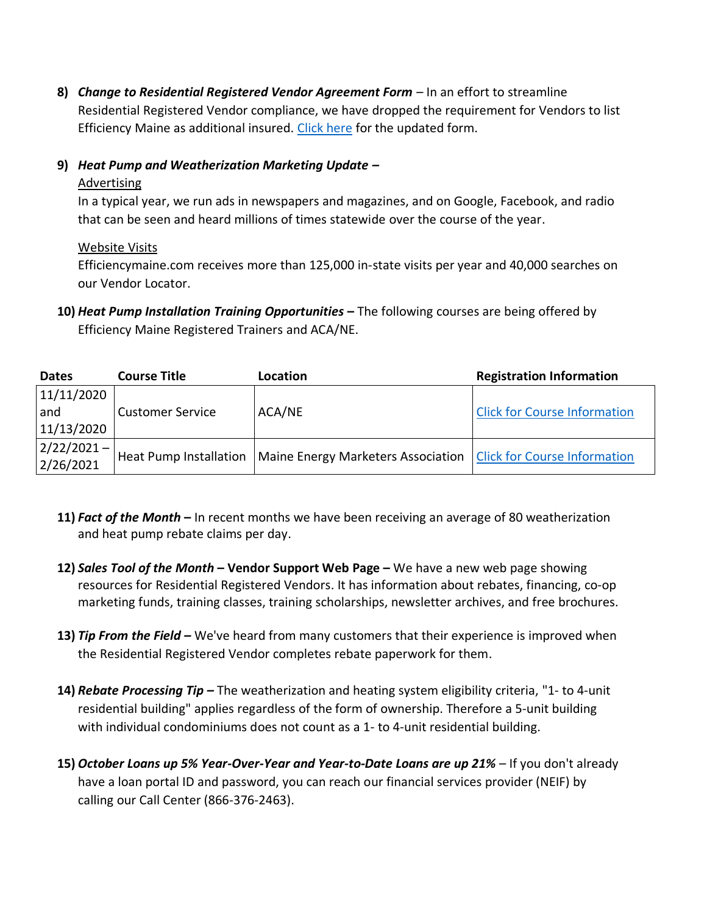**8)** *Change to Residential Registered Vendor Agreement Form –* In an effort to streamline Residential Registered Vendor compliance, we have dropped the requirement for Vendors to list Efficiency Maine as additional insured. [Click here](https://www.efficiencymaine.com/docs/EM-RV-form.pdf) for the updated form.

### **9)** *Heat Pump and Weatherization Marketing Update –*

#### **Advertising**

In a typical year, we run ads in newspapers and magazines, and on Google, Facebook, and radio that can be seen and heard millions of times statewide over the course of the year.

### Website Visits

Efficiencymaine.com receives more than 125,000 in-state visits per year and 40,000 searches on our Vendor Locator.

**10)** *Heat Pump Installation Training Opportunities* **–** The following courses are being offered by Efficiency Maine Registered Trainers and ACA/NE.

| <b>Dates</b>     | <b>Course Title</b>     | Location                                                                                   | <b>Registration Information</b>     |
|------------------|-------------------------|--------------------------------------------------------------------------------------------|-------------------------------------|
| 11/11/2020       |                         |                                                                                            |                                     |
| and              | <b>Customer Service</b> | ACA/NE                                                                                     | <b>Click for Course Information</b> |
| 11/13/2020       |                         |                                                                                            |                                     |
| $ 2/22/2021 -  $ |                         |                                                                                            |                                     |
| 2/26/2021        |                         | Heat Pump Installation   Maine Energy Marketers Association   Click for Course Information |                                     |

- **11)** *Fact of the Month* **–** In recent months we have been receiving an average of 80 weatherization and heat pump rebate claims per day.
- **12)** *Sales Tool of the Month* **– Vendor Support Web Page –** We have a new web page showing resources for Residential Registered Vendors. It has information about rebates, financing, co-op marketing funds, training classes, training scholarships, newsletter archives, and free brochures.
- **13)** *Tip From the Field –* We've heard from many customers that their experience is improved when the Residential Registered Vendor completes rebate paperwork for them.
- **14)** *Rebate Processing Tip –* The weatherization and heating system eligibility criteria, "1- to 4-unit residential building" applies regardless of the form of ownership. Therefore a 5-unit building with individual condominiums does not count as a 1- to 4-unit residential building.
- **15)** *October Loans up 5% Year-Over-Year and Year-to-Date Loans are up 21% –* If you don't already have a loan portal ID and password, you can reach our financial services provider (NEIF) by calling our Call Center (866-376-2463).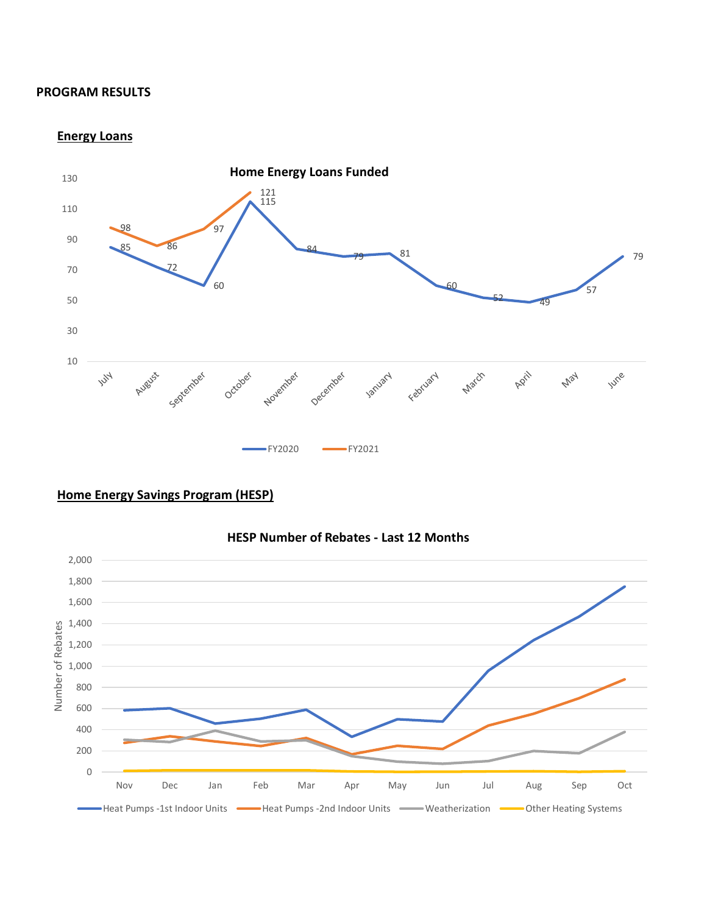#### **PROGRAM RESULTS**

#### **Energy Loans**



### **Home Energy Savings Program (HESP)**

#### **HESP Number of Rebates - Last 12 Months**

![](_page_2_Figure_5.jpeg)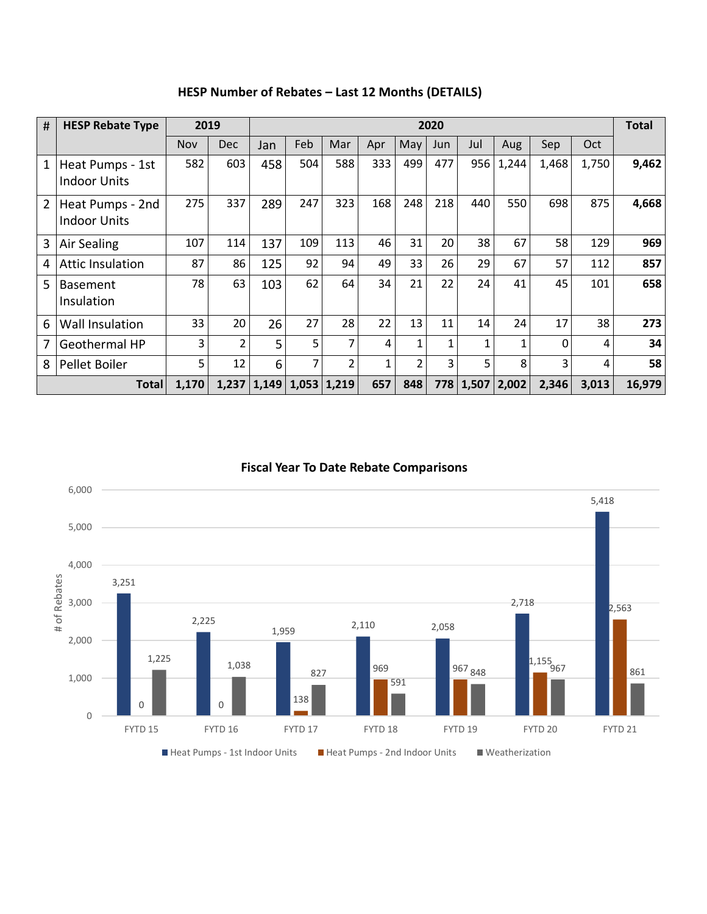| #              | 2019<br><b>HESP Rebate Type</b>         |       |                | 2020          |                 |     |     |                |     |       |       |       |       |        |  |
|----------------|-----------------------------------------|-------|----------------|---------------|-----------------|-----|-----|----------------|-----|-------|-------|-------|-------|--------|--|
|                |                                         | Nov   | <b>Dec</b>     | Jan           | Feb             | Mar | Apr | May            | Jun | Jul   | Aug   | Sep   | Oct   |        |  |
| 1              | Heat Pumps - 1st<br><b>Indoor Units</b> | 582   | 603            | 458           | 504             | 588 | 333 | 499            | 477 | 956   | 1,244 | 1,468 | 1,750 | 9,462  |  |
| $\overline{2}$ | Heat Pumps - 2nd<br><b>Indoor Units</b> | 275   | 337            | 289           | 247             | 323 | 168 | 248            | 218 | 440   | 550   | 698   | 875   | 4,668  |  |
| 3              | Air Sealing                             | 107   | 114            | 137           | 109             | 113 | 46  | 31             | 20  | 38    | 67    | 58    | 129   | 969    |  |
| 4              | <b>Attic Insulation</b>                 | 87    | 86             | 125           | 92              | 94  | 49  | 33             | 26  | 29    | 67    | 57    | 112   | 857    |  |
| 5              | <b>Basement</b><br>Insulation           | 78    | 63             | 103           | 62              | 64  | 34  | 21             | 22  | 24    | 41    | 45    | 101   | 658    |  |
| 6              | Wall Insulation                         | 33    | 20             | 26            | 27              | 28  | 22  | 13             | 11  | 14    | 24    | 17    | 38    | 273    |  |
| 7              | <b>Geothermal HP</b>                    | 3     | $\overline{2}$ | 5             | 5               | 7   | 4   |                |     |       | 1     | 0     | 4     | 34     |  |
| 8              | Pellet Boiler                           | 5     | 12             | 6             | 7               | 2   | 1   | $\overline{2}$ | 3   | 5     | 8     | 3     | 4     | 58     |  |
| <b>Total</b>   |                                         | 1,170 |                | $1,237$ 1,149 | $1,053$   1,219 |     | 657 | 848            | 778 | 1,507 | 2,002 | 2,346 | 3,013 | 16,979 |  |

**HESP Number of Rebates – Last 12 Months (DETAILS)**

### **Fiscal Year To Date Rebate Comparisons**

![](_page_3_Figure_3.jpeg)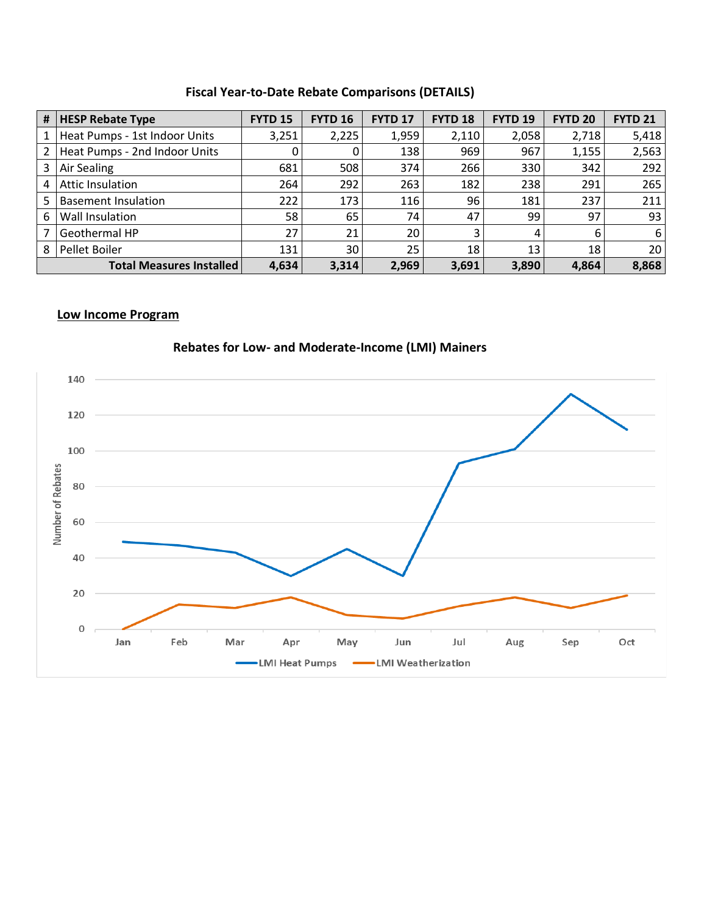### **Fiscal Year-to-Date Rebate Comparisons (DETAILS)**

| # | <b>HESP Rebate Type</b>         | <b>FYTD 15</b> | <b>FYTD 16</b> | <b>FYTD 17</b> | <b>FYTD 18</b> | <b>FYTD 19</b> | <b>FYTD 20</b> | <b>FYTD 21</b>  |
|---|---------------------------------|----------------|----------------|----------------|----------------|----------------|----------------|-----------------|
|   | Heat Pumps - 1st Indoor Units   | 3,251          | 2,225          | 1,959          | 2,110          | 2,058          | 2,718          | 5,418           |
| 2 | Heat Pumps - 2nd Indoor Units   | 0              |                | 138            | 969            | 967            | 1,155          | 2,563           |
| 3 | Air Sealing                     | 681            | 508            | 374            | 266            | 330            | 342            | 292             |
| 4 | Attic Insulation                | 264            | 292            | 263            | 182            | 238            | 291            | 265             |
| 5 | <b>Basement Insulation</b>      | 222            | 173            | 116            | 96             | 181            | 237            | 211             |
| 6 | Wall Insulation                 | 58             | 65             | 74             | 47             | 99             | 97             | 93              |
|   | Geothermal HP                   | 27             | 21             | 20             | 3              | 4              | 6              | 6               |
| 8 | Pellet Boiler                   | 131            | 30             | 25             | 18             | 13             | 18             | 20 <sub>1</sub> |
|   | <b>Total Measures Installed</b> | 4,634          | 3,314          | 2,969          | 3,691          | 3,890          | 4,864          | 8,868           |

### **Low Income Program**

![](_page_4_Figure_3.jpeg)

### **Rebates for Low- and Moderate-Income (LMI) Mainers**